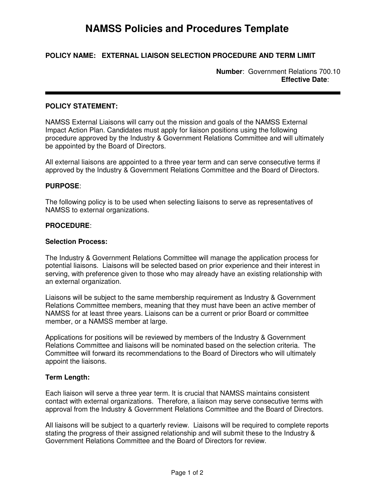# **NAMSS Policies and Procedures Template**

# **POLICY NAME: EXTERNAL LIAISON SELECTION PROCEDURE AND TERM LIMIT**

**Number**: Government Relations 700.10 **Effective Date**:

## **POLICY STATEMENT:**

NAMSS External Liaisons will carry out the mission and goals of the NAMSS External Impact Action Plan. Candidates must apply for liaison positions using the following procedure approved by the Industry & Government Relations Committee and will ultimately be appointed by the Board of Directors.

All external liaisons are appointed to a three year term and can serve consecutive terms if approved by the Industry & Government Relations Committee and the Board of Directors.

### **PURPOSE**:

The following policy is to be used when selecting liaisons to serve as representatives of NAMSS to external organizations.

#### **PROCEDURE**:

#### **Selection Process:**

The Industry & Government Relations Committee will manage the application process for potential liaisons. Liaisons will be selected based on prior experience and their interest in serving, with preference given to those who may already have an existing relationship with an external organization.

Liaisons will be subject to the same membership requirement as Industry & Government Relations Committee members, meaning that they must have been an active member of NAMSS for at least three years. Liaisons can be a current or prior Board or committee member, or a NAMSS member at large.

Applications for positions will be reviewed by members of the Industry & Government Relations Committee and liaisons will be nominated based on the selection criteria. The Committee will forward its recommendations to the Board of Directors who will ultimately appoint the liaisons.

#### **Term Length:**

Each liaison will serve a three year term. It is crucial that NAMSS maintains consistent contact with external organizations. Therefore, a liaison may serve consecutive terms with approval from the Industry & Government Relations Committee and the Board of Directors.

All liaisons will be subject to a quarterly review. Liaisons will be required to complete reports stating the progress of their assigned relationship and will submit these to the Industry & Government Relations Committee and the Board of Directors for review.